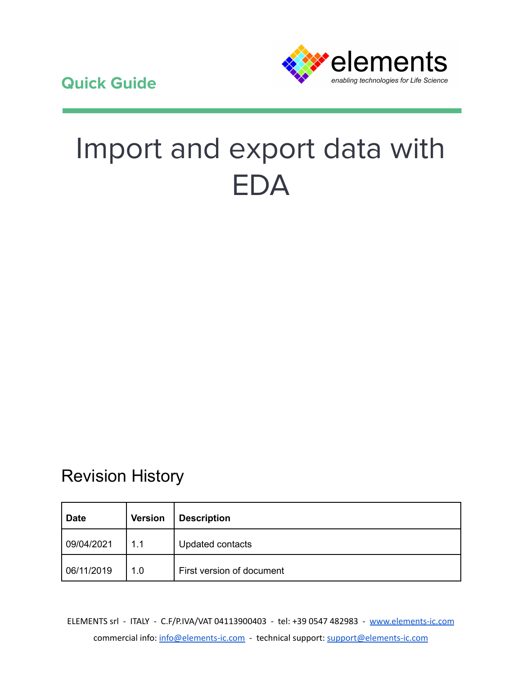

# Import and export data with EDA

## Revision History

| <b>Date</b> | <b>Version</b> | <b>Description</b>        |  |
|-------------|----------------|---------------------------|--|
| 09/04/2021  | 1.1            | Updated contacts          |  |
| 06/11/2019  | 1.0            | First version of document |  |

ELEMENTS srl - ITALY - C.F/P.IVA/VAT 04113900403 - tel: +39 0547 482983 - [www.elements-ic.com](http://www.elements-ic.com) commercial info: [info@elements-ic.com](mailto:info@elements-ic.com) - technical support: [support@elements-ic.com](mailto:support@elements-ic.com)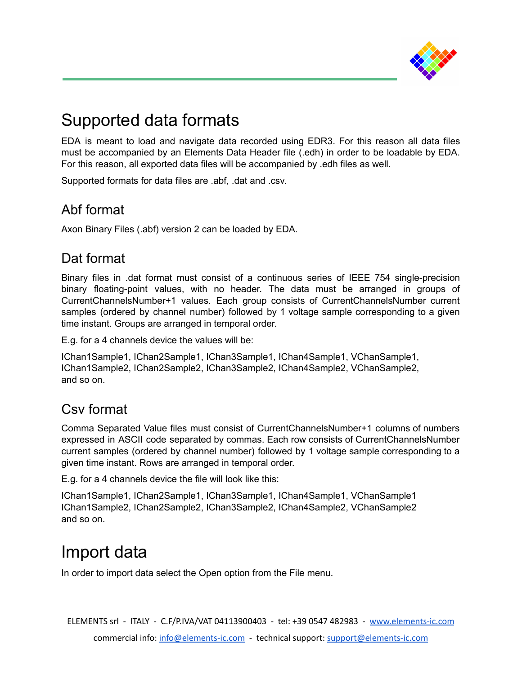

## Supported data formats

EDA is meant to load and navigate data recorded using EDR3. For this reason all data files must be accompanied by an Elements Data Header file (.edh) in order to be loadable by EDA. For this reason, all exported data files will be accompanied by .edh files as well.

Supported formats for data files are .abf, .dat and .csv.

#### Abf format

Axon Binary Files (.abf) version 2 can be loaded by EDA.

#### Dat format

Binary files in .dat format must consist of a continuous series of IEEE 754 single-precision binary floating-point values, with no header. The data must be arranged in groups of CurrentChannelsNumber+1 values. Each group consists of CurrentChannelsNumber current samples (ordered by channel number) followed by 1 voltage sample corresponding to a given time instant. Groups are arranged in temporal order.

E.g. for a 4 channels device the values will be:

IChan1Sample1, IChan2Sample1, IChan3Sample1, IChan4Sample1, VChanSample1, IChan1Sample2, IChan2Sample2, IChan3Sample2, IChan4Sample2, VChanSample2, and so on.

#### Csv format

Comma Separated Value files must consist of CurrentChannelsNumber+1 columns of numbers expressed in ASCII code separated by commas. Each row consists of CurrentChannelsNumber current samples (ordered by channel number) followed by 1 voltage sample corresponding to a given time instant. Rows are arranged in temporal order.

E.g. for a 4 channels device the file will look like this:

IChan1Sample1, IChan2Sample1, IChan3Sample1, IChan4Sample1, VChanSample1 IChan1Sample2, IChan2Sample2, IChan3Sample2, IChan4Sample2, VChanSample2 and so on.

## Import data

In order to import data select the Open option from the File menu.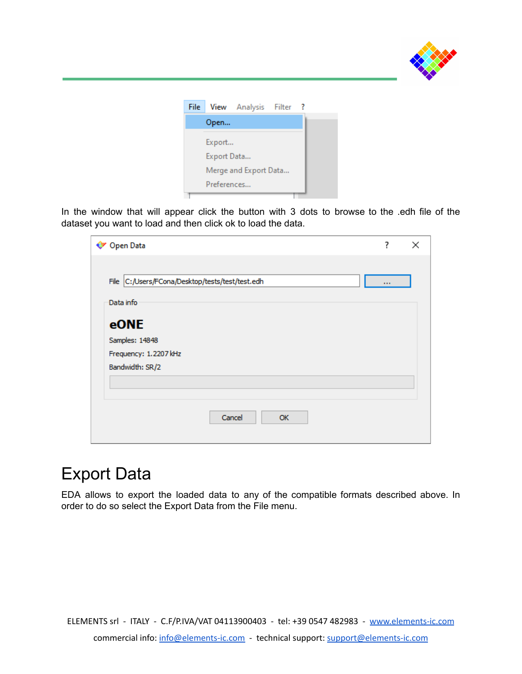

| File |             | View Analysis Filter ? |  |
|------|-------------|------------------------|--|
|      | Open        |                        |  |
|      | Export      |                        |  |
|      | Export Data |                        |  |
|      |             | Merge and Export Data  |  |
|      | Preferences |                        |  |
|      |             |                        |  |

In the window that will appear click the button with 3 dots to browse to the .edh file of the dataset you want to load and then click ok to load the data.

| <b>Open Data</b>                                | ?        | × |
|-------------------------------------------------|----------|---|
| File C:/Users/FCona/Desktop/tests/test/test.edh | $\cdots$ |   |
| Data info                                       |          |   |
| eONE                                            |          |   |
| Samples: 14848                                  |          |   |
| Frequency: 1.2207 kHz                           |          |   |
| Bandwidth: SR/2                                 |          |   |
|                                                 |          |   |
|                                                 |          |   |
| Cancel<br>OK                                    |          |   |

### Export Data

EDA allows to export the loaded data to any of the compatible formats described above. In order to do so select the Export Data from the File menu.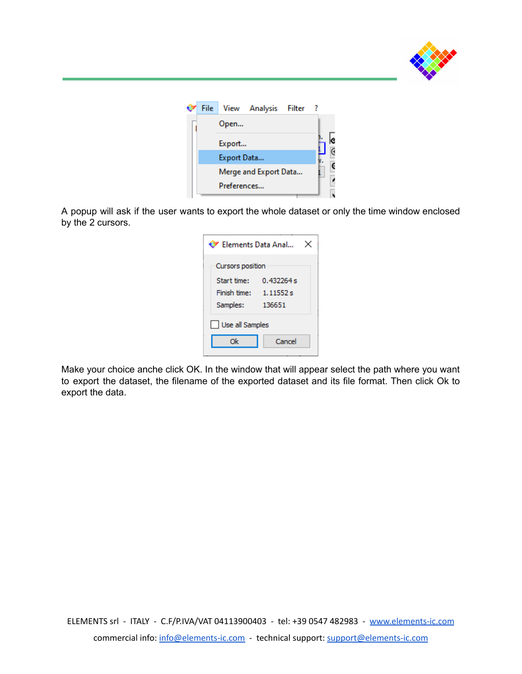

| File |             | View Analysis Filter ? |  |  |
|------|-------------|------------------------|--|--|
|      | Open        |                        |  |  |
|      | Export      |                        |  |  |
|      | Export Data |                        |  |  |
|      |             | Merge and Export Data  |  |  |
|      | Preferences |                        |  |  |
|      |             |                        |  |  |

A popup will ask if the user wants to export the whole dataset or only the time window enclosed by the 2 cursors.

| ♥ Elements Data Anal |  |  |  |  |  |
|----------------------|--|--|--|--|--|
| Cursors position     |  |  |  |  |  |
| 0.432264 s           |  |  |  |  |  |
| 1.11552s             |  |  |  |  |  |
| 136651               |  |  |  |  |  |
| Use all Samples      |  |  |  |  |  |
| Cancel               |  |  |  |  |  |
|                      |  |  |  |  |  |

Make your choice anche click OK. In the window that will appear select the path where you want to export the dataset, the filename of the exported dataset and its file format. Then click Ok to export the data.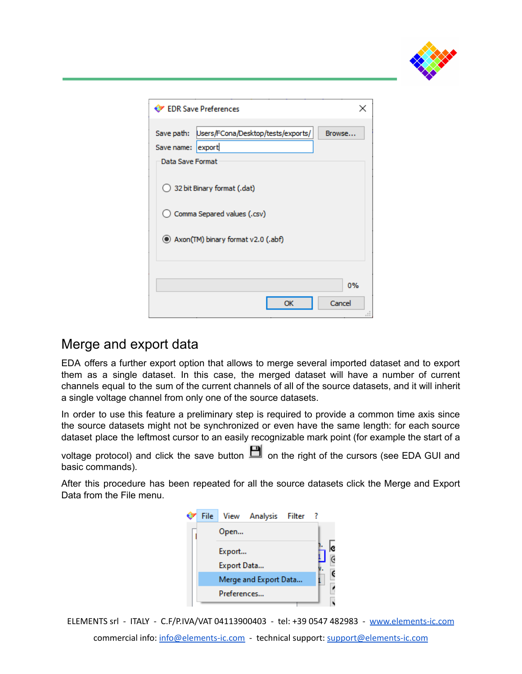

| EDR Save Preferences                             |        |
|--------------------------------------------------|--------|
|                                                  |        |
| Users/FCona/Desktop/tests/exports/<br>Save path: | Browse |
| Save name: export                                |        |
| Data Save Format                                 |        |
|                                                  |        |
| 32 bit Binary format (.dat)                      |        |
|                                                  |        |
| C Comma Separed values (.csv)                    |        |
|                                                  |        |
| Axon(TM) binary format v2.0 (.abf)               |        |
|                                                  |        |
|                                                  |        |
|                                                  |        |
|                                                  | 0%     |
|                                                  |        |
| OK                                               | Cancel |

#### Merge and export data

EDA offers a further export option that allows to merge several imported dataset and to export them as a single dataset. In this case, the merged dataset will have a number of current channels equal to the sum of the current channels of all of the source datasets, and it will inherit a single voltage channel from only one of the source datasets.

In order to use this feature a preliminary step is required to provide a common time axis since the source datasets might not be synchronized or even have the same length: for each source dataset place the leftmost cursor to an easily recognizable mark point (for example the start of a

voltage protocol) and click the save button  $\Box$  on the right of the cursors (see EDA GUI and basic commands).

After this procedure has been repeated for all the source datasets click the Merge and Export Data from the File menu.

|  |             | File View Analysis Filter ? |  |  |
|--|-------------|-----------------------------|--|--|
|  | Open        |                             |  |  |
|  | Export      |                             |  |  |
|  | Export Data |                             |  |  |
|  |             | Merge and Export Data       |  |  |
|  | Preferences |                             |  |  |
|  |             |                             |  |  |

ELEMENTS srl - ITALY - C.F/P.IVA/VAT 04113900403 - tel: +39 0547 482983 - [www.elements-ic.com](http://www.elements-ic.com)

commercial info: [info@elements-ic.com](mailto:info@elements-ic.com) - technical support: [support@elements-ic.com](mailto:support@elements-ic.com)